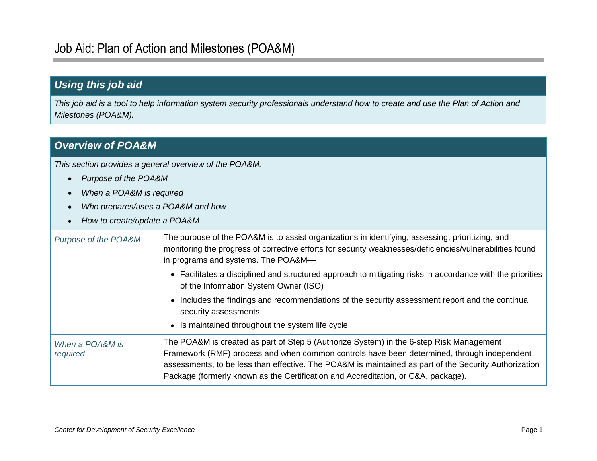## *Using this job aid*

*This job aid is a tool to help information system security professionals understand how to create and use the Plan of Action and Milestones (POA&M).*

## *Overview of POA&M*

*This section provides a general overview of the POA&M:*

- *Purpose of the POA&M*
- *When a POA&M is required*
- *Who prepares/uses a POA&M and how*
- *How to create/update a POA&M*

| Purpose of the POA&M        | The purpose of the POA&M is to assist organizations in identifying, assessing, prioritizing, and<br>monitoring the progress of corrective efforts for security weaknesses/deficiencies/vulnerabilities found<br>in programs and systems. The POA&M—                                                                                                                                 |
|-----------------------------|-------------------------------------------------------------------------------------------------------------------------------------------------------------------------------------------------------------------------------------------------------------------------------------------------------------------------------------------------------------------------------------|
|                             | • Facilitates a disciplined and structured approach to mitigating risks in accordance with the priorities<br>of the Information System Owner (ISO)                                                                                                                                                                                                                                  |
|                             | • Includes the findings and recommendations of the security assessment report and the continual<br>security assessments                                                                                                                                                                                                                                                             |
|                             | • Is maintained throughout the system life cycle                                                                                                                                                                                                                                                                                                                                    |
| When a POA&M is<br>required | The POA&M is created as part of Step 5 (Authorize System) in the 6-step Risk Management<br>Framework (RMF) process and when common controls have been determined, through independent<br>assessments, to be less than effective. The POA&M is maintained as part of the Security Authorization<br>Package (formerly known as the Certification and Accreditation, or C&A, package). |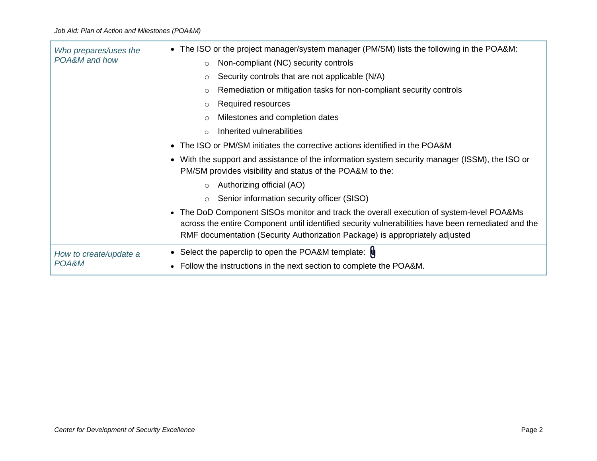| Who prepares/uses the  | • The ISO or the project manager/system manager (PM/SM) lists the following in the POA&M:                                                                                                                                                                                                 |  |  |  |  |
|------------------------|-------------------------------------------------------------------------------------------------------------------------------------------------------------------------------------------------------------------------------------------------------------------------------------------|--|--|--|--|
| POA&M and how          | Non-compliant (NC) security controls<br>$\circ$                                                                                                                                                                                                                                           |  |  |  |  |
|                        | Security controls that are not applicable (N/A)<br>$\circ$                                                                                                                                                                                                                                |  |  |  |  |
|                        | Remediation or mitigation tasks for non-compliant security controls<br>$\circ$                                                                                                                                                                                                            |  |  |  |  |
|                        | Required resources<br>$\circ$                                                                                                                                                                                                                                                             |  |  |  |  |
|                        | Milestones and completion dates<br>$\circ$                                                                                                                                                                                                                                                |  |  |  |  |
|                        | Inherited vulnerabilities<br>$\Omega$                                                                                                                                                                                                                                                     |  |  |  |  |
|                        | The ISO or PM/SM initiates the corrective actions identified in the POA&M<br>$\bullet$                                                                                                                                                                                                    |  |  |  |  |
|                        | With the support and assistance of the information system security manager (ISSM), the ISO or<br>$\bullet$<br>PM/SM provides visibility and status of the POA&M to the:                                                                                                                   |  |  |  |  |
|                        | Authorizing official (AO)<br>$\circ$                                                                                                                                                                                                                                                      |  |  |  |  |
|                        | Senior information security officer (SISO)<br>$\circ$                                                                                                                                                                                                                                     |  |  |  |  |
|                        | The DoD Component SISOs monitor and track the overall execution of system-level POA&Ms<br>$\bullet$<br>across the entire Component until identified security vulnerabilities have been remediated and the<br>RMF documentation (Security Authorization Package) is appropriately adjusted |  |  |  |  |
| How to create/update a | • Select the paperclip to open the POA&M template: $\psi$                                                                                                                                                                                                                                 |  |  |  |  |
| POA&M                  | • Follow the instructions in the next section to complete the POA&M.                                                                                                                                                                                                                      |  |  |  |  |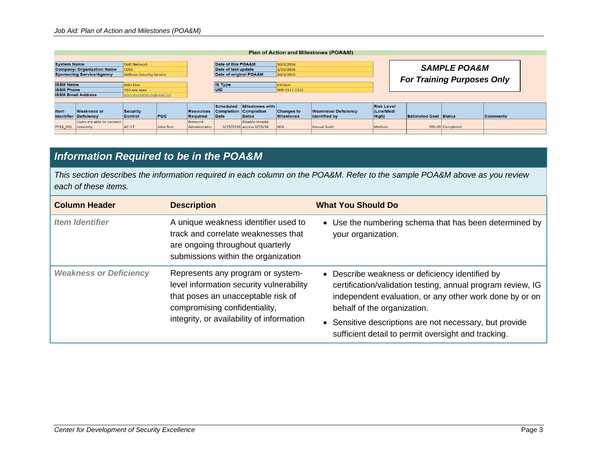| <b>Plan of Action and Milestones (POA&amp;M)</b>       |                                                    |                                   |            |                              |                     |                                       |                                        |                                                    |                    |                                                              |                  |                 |
|--------------------------------------------------------|----------------------------------------------------|-----------------------------------|------------|------------------------------|---------------------|---------------------------------------|----------------------------------------|----------------------------------------------------|--------------------|--------------------------------------------------------------|------------------|-----------------|
| <b>System Name</b>                                     |                                                    | <b>DoD Network</b>                |            | Date of this POA&M           |                     | 10/1/2016                             |                                        |                                                    |                    |                                                              |                  |                 |
|                                                        | <b>Company/ Organization Name</b>                  | CDSE                              |            |                              | Date of last update |                                       | 2/15/2016                              |                                                    |                    | <b>SAMPLE POA&amp;M</b><br><b>For Training Purposes Only</b> |                  |                 |
|                                                        | <b>Sponsoring Service/Agency</b>                   | <b>Defense Security Service</b>   |            |                              |                     | Date of original POA&M<br>10/1/2015   |                                        |                                                    |                    |                                                              |                  |                 |
| <b>ISSM Name</b>                                       |                                                    | John Doe                          |            |                              | <b>IS Type</b>      |                                       | Enclave                                |                                                    |                    |                                                              |                  |                 |
| <b>ISSM Phone</b>                                      | 410-xxx-xxxx                                       |                                   |            | UID                          |                     | 009-1111-2222                         |                                        |                                                    |                    |                                                              |                  |                 |
| <b>ISSM Email Address</b><br>john.doe1000.civ@mail.mil |                                                    |                                   |            |                              |                     |                                       |                                        |                                                    |                    |                                                              |                  |                 |
|                                                        |                                                    |                                   |            |                              | Scheduled           | Milestones with                       |                                        |                                                    | <b>Risk Level</b>  |                                                              |                  |                 |
| <b>Item</b>                                            | <b>Weakness or</b><br><b>Identifier Deficiency</b> | <b>Security</b><br><b>Control</b> | <b>POC</b> | <b>Resources</b><br>Required | Date                | Completion Completion<br><b>Dates</b> | <b>Changes to</b><br><b>Milestones</b> | <b>Weakness/Deficiency</b><br><b>Identified by</b> | (Low/Med/<br>High) | <b>Estimated Cost Status</b>                                 |                  | <b>Comments</b> |
|                                                        | Users are able to connect                          |                                   |            | Network                      |                     | Disable remote                        |                                        |                                                    |                    |                                                              |                  |                 |
| FY16 001                                               | remotely                                           | $AC-17$                           | John Doe   | Administrator                |                     | 3/15/2016 access 3/15/16              | N/A                                    | <b>Annual Audit</b>                                | Medium             |                                                              | 500.00 Completed |                 |
|                                                        |                                                    |                                   |            |                              |                     |                                       |                                        |                                                    |                    |                                                              |                  |                 |

## *Information Required to be in the POA&M*

*This section describes the information required in each column on the POA&M. Refer to the sample POA&M above as you review each of these items.*

| <b>Column Header</b>          | <b>Description</b>                                                                                                                                                                                | <b>What You Should Do</b>                                                                                                                                                                                                                                                                                                                        |
|-------------------------------|---------------------------------------------------------------------------------------------------------------------------------------------------------------------------------------------------|--------------------------------------------------------------------------------------------------------------------------------------------------------------------------------------------------------------------------------------------------------------------------------------------------------------------------------------------------|
| <b>Item Identifier</b>        | A unique weakness identifier used to<br>track and correlate weaknesses that<br>are ongoing throughout quarterly<br>submissions within the organization                                            | • Use the numbering schema that has been determined by<br>your organization.                                                                                                                                                                                                                                                                     |
| <b>Weakness or Deficiency</b> | Represents any program or system-<br>level information security vulnerability<br>that poses an unacceptable risk of<br>compromising confidentiality,<br>integrity, or availability of information | Describe weakness or deficiency identified by<br>$\bullet$<br>certification/validation testing, annual program review, IG<br>independent evaluation, or any other work done by or on<br>behalf of the organization.<br>Sensitive descriptions are not necessary, but provide<br>$\bullet$<br>sufficient detail to permit oversight and tracking. |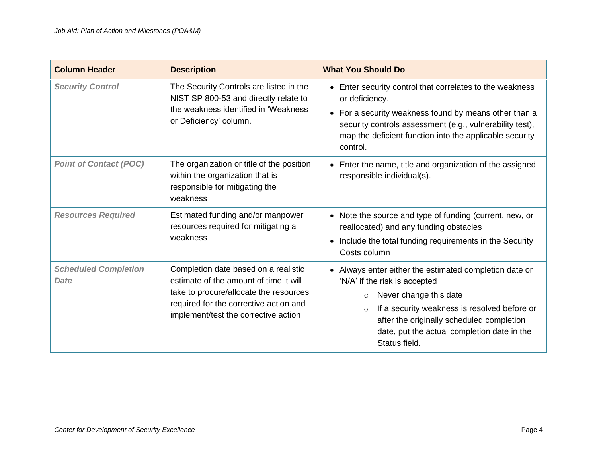| <b>Column Header</b>                       | <b>Description</b>                                                                                                                                                                                         | <b>What You Should Do</b>                                                                                                                                                                |  |  |
|--------------------------------------------|------------------------------------------------------------------------------------------------------------------------------------------------------------------------------------------------------------|------------------------------------------------------------------------------------------------------------------------------------------------------------------------------------------|--|--|
| <b>Security Control</b>                    | The Security Controls are listed in the<br>NIST SP 800-53 and directly relate to<br>the weakness identified in 'Weakness<br>or Deficiency' column.                                                         | • Enter security control that correlates to the weakness<br>or deficiency.                                                                                                               |  |  |
|                                            |                                                                                                                                                                                                            | • For a security weakness found by means other than a<br>security controls assessment (e.g., vulnerability test),<br>map the deficient function into the applicable security<br>control. |  |  |
| <b>Point of Contact (POC)</b>              | The organization or title of the position<br>within the organization that is<br>responsible for mitigating the<br>weakness                                                                                 | • Enter the name, title and organization of the assigned<br>responsible individual(s).                                                                                                   |  |  |
| <b>Resources Required</b>                  | Estimated funding and/or manpower<br>resources required for mitigating a                                                                                                                                   | • Note the source and type of funding (current, new, or<br>reallocated) and any funding obstacles                                                                                        |  |  |
|                                            | weakness                                                                                                                                                                                                   | Include the total funding requirements in the Security<br>$\bullet$<br>Costs column                                                                                                      |  |  |
| <b>Scheduled Completion</b><br><b>Date</b> | Completion date based on a realistic<br>estimate of the amount of time it will<br>take to procure/allocate the resources<br>required for the corrective action and<br>implement/test the corrective action | • Always enter either the estimated completion date or<br>'N/A' if the risk is accepted                                                                                                  |  |  |
|                                            |                                                                                                                                                                                                            | Never change this date<br>$\circ$                                                                                                                                                        |  |  |
|                                            |                                                                                                                                                                                                            | If a security weakness is resolved before or<br>$\circ$<br>after the originally scheduled completion<br>date, put the actual completion date in the<br>Status field.                     |  |  |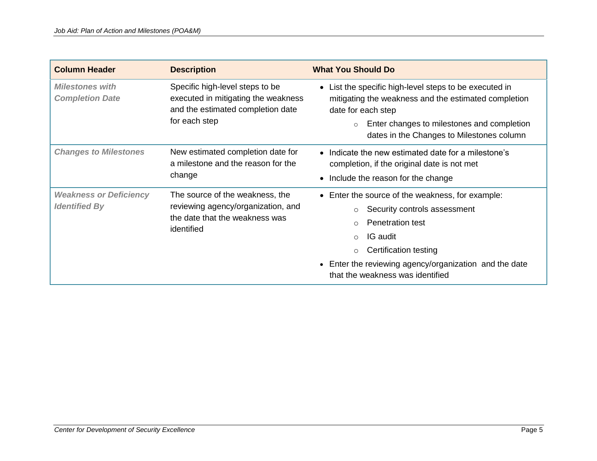| <b>Column Header</b>                                  | <b>Description</b>                                                                                                           | <b>What You Should Do</b>                                                                                                                                                                                                                                  |
|-------------------------------------------------------|------------------------------------------------------------------------------------------------------------------------------|------------------------------------------------------------------------------------------------------------------------------------------------------------------------------------------------------------------------------------------------------------|
| <i>Milestones with</i><br><b>Completion Date</b>      | Specific high-level steps to be<br>executed in mitigating the weakness<br>and the estimated completion date<br>for each step | • List the specific high-level steps to be executed in<br>mitigating the weakness and the estimated completion<br>date for each step<br>Enter changes to milestones and completion<br>$\circ$<br>dates in the Changes to Milestones column                 |
| <b>Changes to Milestones</b>                          | New estimated completion date for<br>a milestone and the reason for the<br>change                                            | • Indicate the new estimated date for a milestone's<br>completion, if the original date is not met<br>• Include the reason for the change                                                                                                                  |
| <b>Weakness or Deficiency</b><br><b>Identified By</b> | The source of the weakness, the<br>reviewing agency/organization, and<br>the date that the weakness was<br>identified        | • Enter the source of the weakness, for example:<br>Security controls assessment<br><b>Penetration test</b><br>IG audit<br>$\Omega$<br>Certification testing<br>• Enter the reviewing agency/organization and the date<br>that the weakness was identified |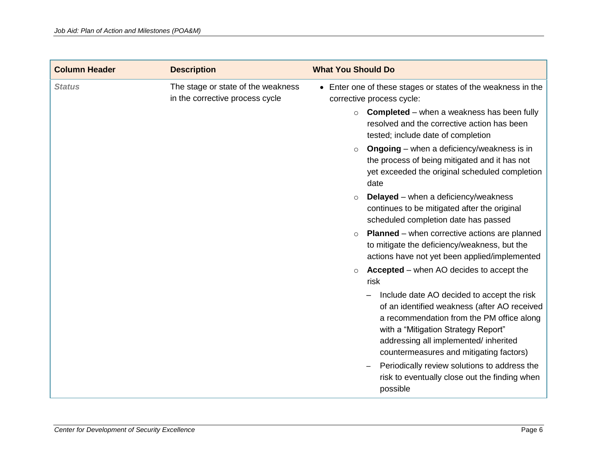| <b>Column Header</b> | <b>Description</b>                                                    | <b>What You Should Do</b> |                                                                                                                                                                                                                                                                    |
|----------------------|-----------------------------------------------------------------------|---------------------------|--------------------------------------------------------------------------------------------------------------------------------------------------------------------------------------------------------------------------------------------------------------------|
| <b>Status</b>        | The stage or state of the weakness<br>in the corrective process cycle |                           | • Enter one of these stages or states of the weakness in the<br>corrective process cycle:                                                                                                                                                                          |
|                      |                                                                       | $\circ$                   | <b>Completed</b> – when a weakness has been fully<br>resolved and the corrective action has been<br>tested; include date of completion                                                                                                                             |
|                      |                                                                       | $\circ$                   | <b>Ongoing</b> – when a deficiency/weakness is in<br>the process of being mitigated and it has not<br>yet exceeded the original scheduled completion<br>date                                                                                                       |
|                      |                                                                       | $\circ$                   | <b>Delayed</b> – when a deficiency/weakness<br>continues to be mitigated after the original<br>scheduled completion date has passed                                                                                                                                |
|                      |                                                                       | $\circ$                   | <b>Planned</b> – when corrective actions are planned<br>to mitigate the deficiency/weakness, but the<br>actions have not yet been applied/implemented                                                                                                              |
|                      |                                                                       |                           | <b>Accepted</b> – when AO decides to accept the<br>risk                                                                                                                                                                                                            |
|                      |                                                                       |                           | Include date AO decided to accept the risk<br>of an identified weakness (after AO received<br>a recommendation from the PM office along<br>with a "Mitigation Strategy Report"<br>addressing all implemented/ inherited<br>countermeasures and mitigating factors) |
|                      |                                                                       |                           | Periodically review solutions to address the<br>risk to eventually close out the finding when<br>possible                                                                                                                                                          |